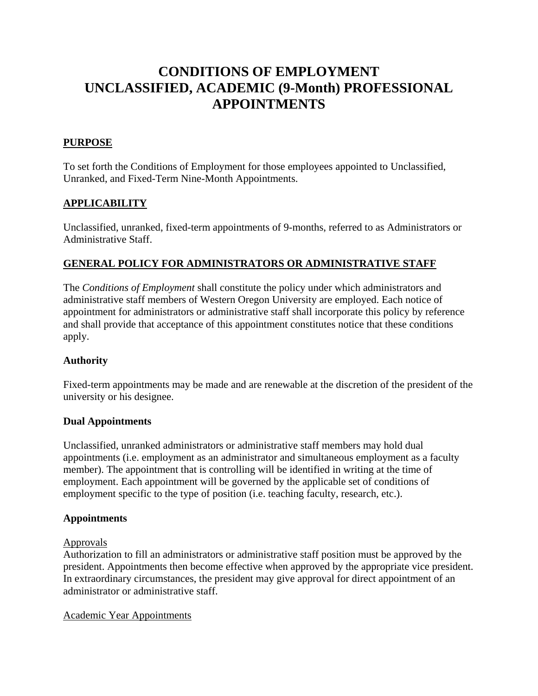# **CONDITIONS OF EMPLOYMENT UNCLASSIFIED, ACADEMIC (9-Month) PROFESSIONAL APPOINTMENTS**

# **PURPOSE**

To set forth the Conditions of Employment for those employees appointed to Unclassified, Unranked, and Fixed-Term Nine-Month Appointments.

# **APPLICABILITY**

Unclassified, unranked, fixed-term appointments of 9-months, referred to as Administrators or Administrative Staff.

# **GENERAL POLICY FOR ADMINISTRATORS OR ADMINISTRATIVE STAFF**

The *Conditions of Employment* shall constitute the policy under which administrators and administrative staff members of Western Oregon University are employed. Each notice of appointment for administrators or administrative staff shall incorporate this policy by reference and shall provide that acceptance of this appointment constitutes notice that these conditions apply.

# **Authority**

Fixed-term appointments may be made and are renewable at the discretion of the president of the university or his designee.

#### **Dual Appointments**

Unclassified, unranked administrators or administrative staff members may hold dual appointments (i.e. employment as an administrator and simultaneous employment as a faculty member). The appointment that is controlling will be identified in writing at the time of employment. Each appointment will be governed by the applicable set of conditions of employment specific to the type of position (i.e. teaching faculty, research, etc.).

# **Appointments**

#### Approvals

Authorization to fill an administrators or administrative staff position must be approved by the president. Appointments then become effective when approved by the appropriate vice president. In extraordinary circumstances, the president may give approval for direct appointment of an administrator or administrative staff.

Academic Year Appointments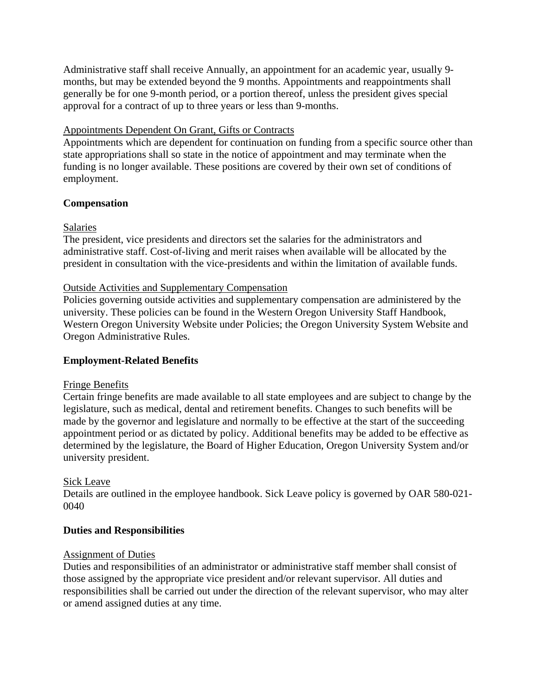Administrative staff shall receive Annually, an appointment for an academic year, usually 9 months, but may be extended beyond the 9 months. Appointments and reappointments shall generally be for one 9-month period, or a portion thereof, unless the president gives special approval for a contract of up to three years or less than 9-months.

# Appointments Dependent On Grant, Gifts or Contracts

Appointments which are dependent for continuation on funding from a specific source other than state appropriations shall so state in the notice of appointment and may terminate when the funding is no longer available. These positions are covered by their own set of conditions of employment.

## **Compensation**

## **Salaries**

The president, vice presidents and directors set the salaries for the administrators and administrative staff. Cost-of-living and merit raises when available will be allocated by the president in consultation with the vice-presidents and within the limitation of available funds.

## Outside Activities and Supplementary Compensation

Policies governing outside activities and supplementary compensation are administered by the university. These policies can be found in the Western Oregon University Staff Handbook, Western Oregon University Website under Policies; the Oregon University System Website and Oregon Administrative Rules.

# **Employment-Related Benefits**

#### Fringe Benefits

Certain fringe benefits are made available to all state employees and are subject to change by the legislature, such as medical, dental and retirement benefits. Changes to such benefits will be made by the governor and legislature and normally to be effective at the start of the succeeding appointment period or as dictated by policy. Additional benefits may be added to be effective as determined by the legislature, the Board of Higher Education, Oregon University System and/or university president.

#### Sick Leave

Details are outlined in the employee handbook. Sick Leave policy is governed by OAR 580-021- 0040

#### **Duties and Responsibilities**

#### Assignment of Duties

Duties and responsibilities of an administrator or administrative staff member shall consist of those assigned by the appropriate vice president and/or relevant supervisor. All duties and responsibilities shall be carried out under the direction of the relevant supervisor, who may alter or amend assigned duties at any time.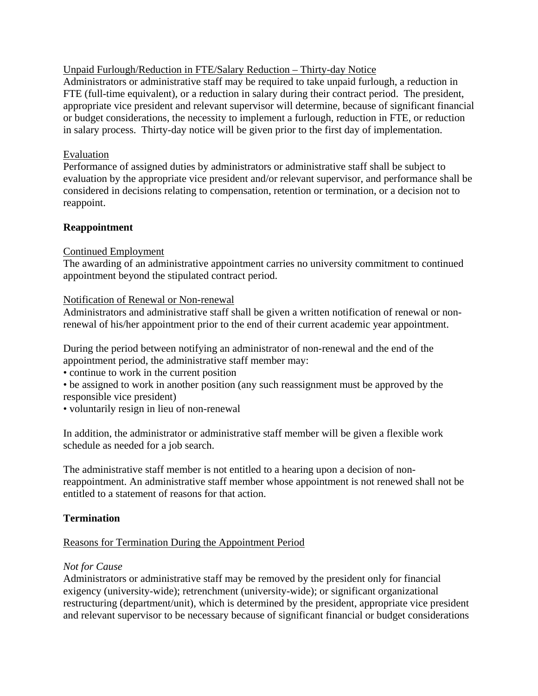Unpaid Furlough/Reduction in FTE/Salary Reduction – Thirty-day Notice

Administrators or administrative staff may be required to take unpaid furlough, a reduction in FTE (full-time equivalent), or a reduction in salary during their contract period. The president, appropriate vice president and relevant supervisor will determine, because of significant financial or budget considerations, the necessity to implement a furlough, reduction in FTE, or reduction in salary process. Thirty-day notice will be given prior to the first day of implementation.

## Evaluation

Performance of assigned duties by administrators or administrative staff shall be subject to evaluation by the appropriate vice president and/or relevant supervisor, and performance shall be considered in decisions relating to compensation, retention or termination, or a decision not to reappoint.

# **Reappointment**

## Continued Employment

The awarding of an administrative appointment carries no university commitment to continued appointment beyond the stipulated contract period.

## Notification of Renewal or Non-renewal

Administrators and administrative staff shall be given a written notification of renewal or nonrenewal of his/her appointment prior to the end of their current academic year appointment.

During the period between notifying an administrator of non-renewal and the end of the appointment period, the administrative staff member may:

• continue to work in the current position

• be assigned to work in another position (any such reassignment must be approved by the responsible vice president)

• voluntarily resign in lieu of non-renewal

In addition, the administrator or administrative staff member will be given a flexible work schedule as needed for a job search.

The administrative staff member is not entitled to a hearing upon a decision of nonreappointment. An administrative staff member whose appointment is not renewed shall not be entitled to a statement of reasons for that action.

# **Termination**

# Reasons for Termination During the Appointment Period

#### *Not for Cause*

Administrators or administrative staff may be removed by the president only for financial exigency (university-wide); retrenchment (university-wide); or significant organizational restructuring (department/unit), which is determined by the president, appropriate vice president and relevant supervisor to be necessary because of significant financial or budget considerations